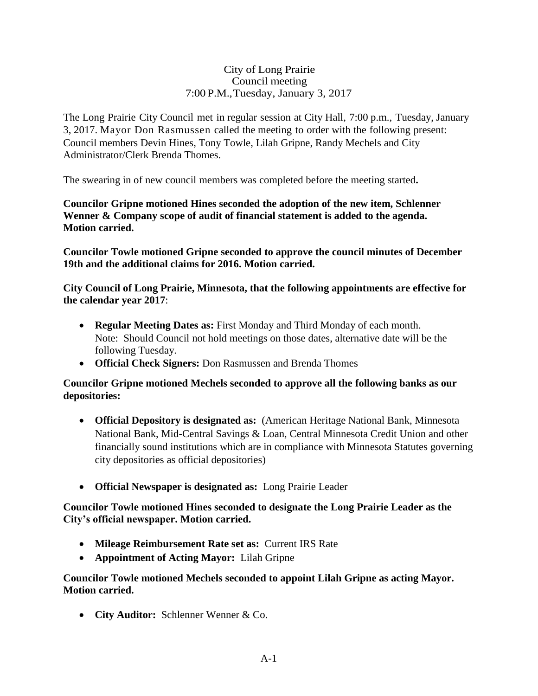### City of Long Prairie Council meeting 7:00 P.M.,Tuesday, January 3, 2017

The Long Prairie City Council met in regular session at City Hall, 7:00 p.m., Tuesday, January 3, 2017. Mayor Don Rasmussen called the meeting to order with the following present: Council members Devin Hines, Tony Towle, Lilah Gripne, Randy Mechels and City Administrator/Clerk Brenda Thomes.

The swearing in of new council members was completed before the meeting started**.**

**Councilor Gripne motioned Hines seconded the adoption of the new item, Schlenner Wenner & Company scope of audit of financial statement is added to the agenda. Motion carried.**

**Councilor Towle motioned Gripne seconded to approve the council minutes of December 19th and the additional claims for 2016. Motion carried.** 

**City Council of Long Prairie, Minnesota, that the following appointments are effective for the calendar year 2017**:

- **Regular Meeting Dates as:** First Monday and Third Monday of each month. Note: Should Council not hold meetings on those dates, alternative date will be the following Tuesday.
- **Official Check Signers:** Don Rasmussen and Brenda Thomes

## **Councilor Gripne motioned Mechels seconded to approve all the following banks as our depositories:**

- **Official Depository is designated as:** (American Heritage National Bank, Minnesota National Bank, Mid-Central Savings & Loan, Central Minnesota Credit Union and other financially sound institutions which are in compliance with Minnesota Statutes governing city depositories as official depositories)
- **Official Newspaper is designated as:** Long Prairie Leader

**Councilor Towle motioned Hines seconded to designate the Long Prairie Leader as the City's official newspaper. Motion carried.**

- **Mileage Reimbursement Rate set as:** Current IRS Rate
- **Appointment of Acting Mayor:** Lilah Gripne

**Councilor Towle motioned Mechels seconded to appoint Lilah Gripne as acting Mayor. Motion carried.**

**City Auditor:** Schlenner Wenner & Co.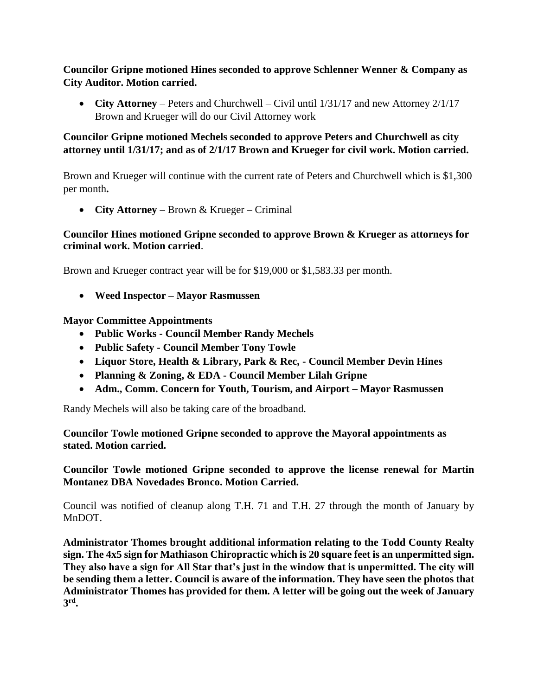**Councilor Gripne motioned Hines seconded to approve Schlenner Wenner & Company as City Auditor. Motion carried.**

• **City Attorney** – Peters and Churchwell – Civil until  $1/31/17$  and new Attorney 2/1/17 Brown and Krueger will do our Civil Attorney work

# **Councilor Gripne motioned Mechels seconded to approve Peters and Churchwell as city attorney until 1/31/17; and as of 2/1/17 Brown and Krueger for civil work. Motion carried.**

Brown and Krueger will continue with the current rate of Peters and Churchwell which is \$1,300 per month**.**

**City Attorney** – Brown & Krueger – Criminal

## **Councilor Hines motioned Gripne seconded to approve Brown & Krueger as attorneys for criminal work. Motion carried**.

Brown and Krueger contract year will be for \$19,000 or \$1,583.33 per month.

**Weed Inspector – Mayor Rasmussen**

## **Mayor Committee Appointments**

- **Public Works - Council Member Randy Mechels**
- **Public Safety - Council Member Tony Towle**
- **Liquor Store, Health & Library, Park & Rec, - Council Member Devin Hines**
- **Planning & Zoning, & EDA - Council Member Lilah Gripne**
- **Adm., Comm. Concern for Youth, Tourism, and Airport – Mayor Rasmussen**

Randy Mechels will also be taking care of the broadband.

**Councilor Towle motioned Gripne seconded to approve the Mayoral appointments as stated. Motion carried.**

**Councilor Towle motioned Gripne seconded to approve the license renewal for Martin Montanez DBA Novedades Bronco. Motion Carried.**

Council was notified of cleanup along T.H. 71 and T.H. 27 through the month of January by MnDOT.

**Administrator Thomes brought additional information relating to the Todd County Realty sign. The 4x5 sign for Mathiason Chiropractic which is 20 square feet is an unpermitted sign. They also have a sign for All Star that's just in the window that is unpermitted. The city will be sending them a letter. Council is aware of the information. They have seen the photos that Administrator Thomes has provided for them. A letter will be going out the week of January 3 rd .**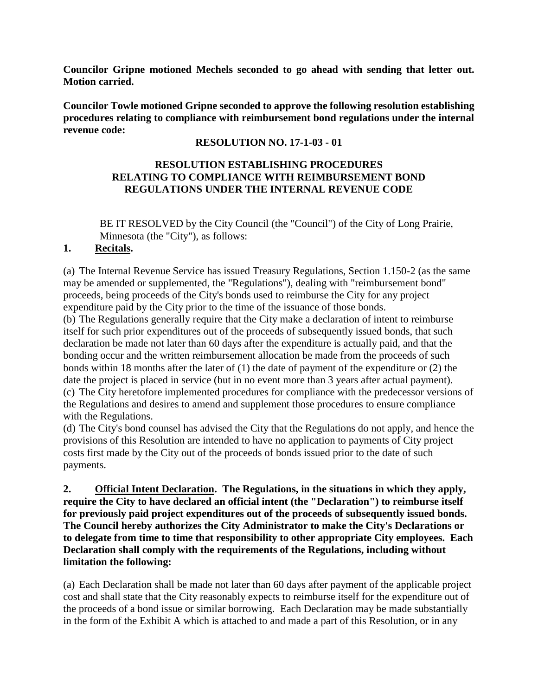**Councilor Gripne motioned Mechels seconded to go ahead with sending that letter out. Motion carried.**

**Councilor Towle motioned Gripne seconded to approve the following resolution establishing procedures relating to compliance with reimbursement bond regulations under the internal revenue code:**

## **RESOLUTION NO. 17-1-03 - 01**

## **RESOLUTION ESTABLISHING PROCEDURES RELATING TO COMPLIANCE WITH REIMBURSEMENT BOND REGULATIONS UNDER THE INTERNAL REVENUE CODE**

BE IT RESOLVED by the City Council (the "Council") of the City of Long Prairie, Minnesota (the "City"), as follows:

## **1. Recitals.**

(a) The Internal Revenue Service has issued Treasury Regulations, Section 1.150-2 (as the same may be amended or supplemented, the "Regulations"), dealing with "reimbursement bond" proceeds, being proceeds of the City's bonds used to reimburse the City for any project expenditure paid by the City prior to the time of the issuance of those bonds.

(b) The Regulations generally require that the City make a declaration of intent to reimburse itself for such prior expenditures out of the proceeds of subsequently issued bonds, that such declaration be made not later than 60 days after the expenditure is actually paid, and that the bonding occur and the written reimbursement allocation be made from the proceeds of such bonds within 18 months after the later of (1) the date of payment of the expenditure or (2) the date the project is placed in service (but in no event more than 3 years after actual payment). (c) The City heretofore implemented procedures for compliance with the predecessor versions of the Regulations and desires to amend and supplement those procedures to ensure compliance with the Regulations.

(d) The City's bond counsel has advised the City that the Regulations do not apply, and hence the provisions of this Resolution are intended to have no application to payments of City project costs first made by the City out of the proceeds of bonds issued prior to the date of such payments.

**2. Official Intent Declaration. The Regulations, in the situations in which they apply, require the City to have declared an official intent (the "Declaration") to reimburse itself for previously paid project expenditures out of the proceeds of subsequently issued bonds. The Council hereby authorizes the City Administrator to make the City's Declarations or to delegate from time to time that responsibility to other appropriate City employees. Each Declaration shall comply with the requirements of the Regulations, including without limitation the following:**

(a) Each Declaration shall be made not later than 60 days after payment of the applicable project cost and shall state that the City reasonably expects to reimburse itself for the expenditure out of the proceeds of a bond issue or similar borrowing. Each Declaration may be made substantially in the form of the Exhibit A which is attached to and made a part of this Resolution, or in any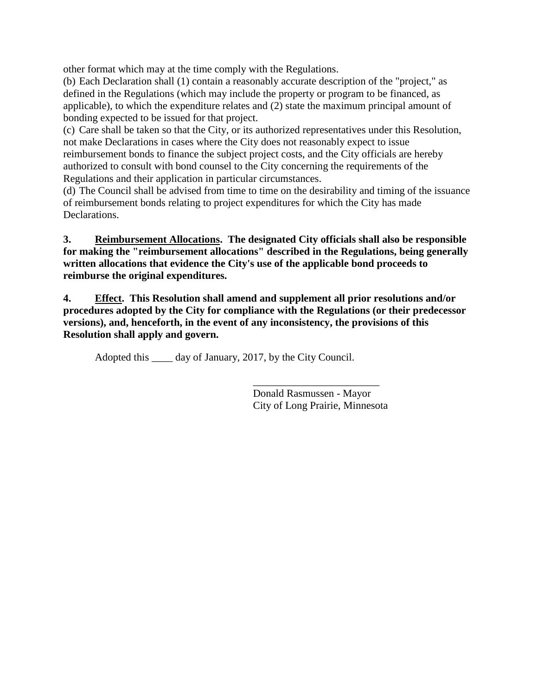other format which may at the time comply with the Regulations.

(b) Each Declaration shall (1) contain a reasonably accurate description of the "project," as defined in the Regulations (which may include the property or program to be financed, as applicable), to which the expenditure relates and (2) state the maximum principal amount of bonding expected to be issued for that project.

(c) Care shall be taken so that the City, or its authorized representatives under this Resolution, not make Declarations in cases where the City does not reasonably expect to issue reimbursement bonds to finance the subject project costs, and the City officials are hereby authorized to consult with bond counsel to the City concerning the requirements of the Regulations and their application in particular circumstances.

(d) The Council shall be advised from time to time on the desirability and timing of the issuance of reimbursement bonds relating to project expenditures for which the City has made Declarations.

**3. Reimbursement Allocations. The designated City officials shall also be responsible for making the "reimbursement allocations" described in the Regulations, being generally written allocations that evidence the City's use of the applicable bond proceeds to reimburse the original expenditures.**

**4. Effect. This Resolution shall amend and supplement all prior resolutions and/or procedures adopted by the City for compliance with the Regulations (or their predecessor versions), and, henceforth, in the event of any inconsistency, the provisions of this Resolution shall apply and govern.**

Adopted this \_\_\_\_\_ day of January, 2017, by the City Council.

\_\_\_\_\_\_\_\_\_\_\_\_\_\_\_\_\_\_\_\_\_\_\_\_ Donald Rasmussen - Mayor City of Long Prairie, Minnesota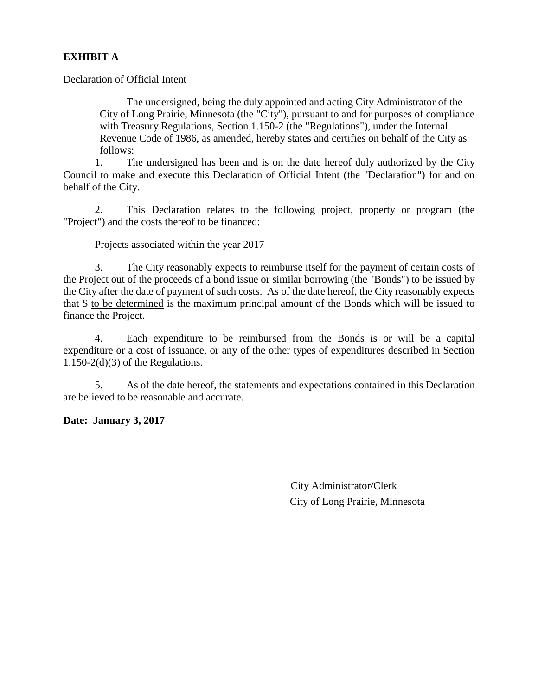## **EXHIBIT A**

Declaration of Official Intent

The undersigned, being the duly appointed and acting City Administrator of the City of Long Prairie, Minnesota (the "City"), pursuant to and for purposes of compliance with Treasury Regulations, Section 1.150-2 (the "Regulations"), under the Internal Revenue Code of 1986, as amended, hereby states and certifies on behalf of the City as follows:

1. The undersigned has been and is on the date hereof duly authorized by the City Council to make and execute this Declaration of Official Intent (the "Declaration") for and on behalf of the City.

2. This Declaration relates to the following project, property or program (the "Project") and the costs thereof to be financed:

Projects associated within the year 2017

3. The City reasonably expects to reimburse itself for the payment of certain costs of the Project out of the proceeds of a bond issue or similar borrowing (the "Bonds") to be issued by the City after the date of payment of such costs. As of the date hereof, the City reasonably expects that \$ to be determined is the maximum principal amount of the Bonds which will be issued to finance the Project.

4. Each expenditure to be reimbursed from the Bonds is or will be a capital expenditure or a cost of issuance, or any of the other types of expenditures described in Section  $1.150-2(d)(3)$  of the Regulations.

5. As of the date hereof, the statements and expectations contained in this Declaration are believed to be reasonable and accurate.

**Date: January 3, 2017**

 City Administrator/Clerk City of Long Prairie, Minnesota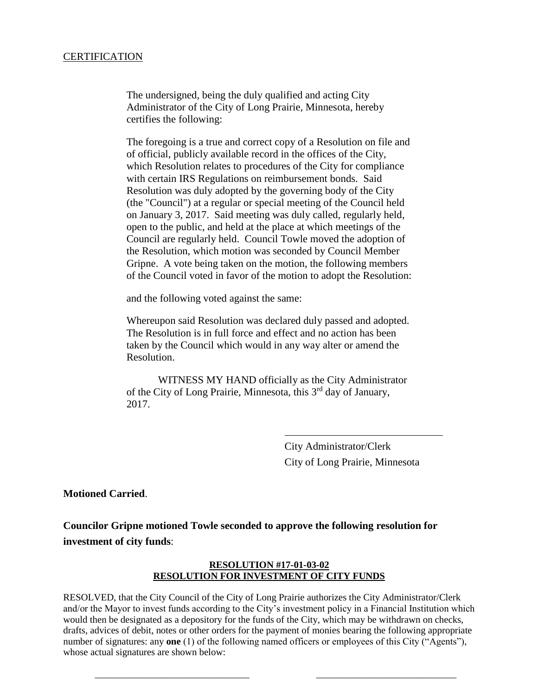#### CERTIFICATION

The undersigned, being the duly qualified and acting City Administrator of the City of Long Prairie, Minnesota, hereby certifies the following:

The foregoing is a true and correct copy of a Resolution on file and of official, publicly available record in the offices of the City, which Resolution relates to procedures of the City for compliance with certain IRS Regulations on reimbursement bonds. Said Resolution was duly adopted by the governing body of the City (the "Council") at a regular or special meeting of the Council held on January 3, 2017. Said meeting was duly called, regularly held, open to the public, and held at the place at which meetings of the Council are regularly held. Council Towle moved the adoption of the Resolution, which motion was seconded by Council Member Gripne. A vote being taken on the motion, the following members of the Council voted in favor of the motion to adopt the Resolution:

and the following voted against the same:

Whereupon said Resolution was declared duly passed and adopted. The Resolution is in full force and effect and no action has been taken by the Council which would in any way alter or amend the Resolution.

WITNESS MY HAND officially as the City Administrator of the City of Long Prairie, Minnesota, this 3<sup>rd</sup> day of January, 2017.

> City Administrator/Clerk City of Long Prairie, Minnesota

**Motioned Carried**.

**Councilor Gripne motioned Towle seconded to approve the following resolution for investment of city funds**:

#### **RESOLUTION #17-01-03-02 RESOLUTION FOR INVESTMENT OF CITY FUNDS**

RESOLVED, that the City Council of the City of Long Prairie authorizes the City Administrator/Clerk and/or the Mayor to invest funds according to the City's investment policy in a Financial Institution which would then be designated as a depository for the funds of the City, which may be withdrawn on checks, drafts, advices of debit, notes or other orders for the payment of monies bearing the following appropriate number of signatures: any **one** (1) of the following named officers or employees of this City ("Agents"), whose actual signatures are shown below:

\_\_\_\_\_\_\_\_\_\_\_\_\_\_\_\_\_\_\_\_\_\_\_\_\_\_\_\_\_\_\_\_ \_\_\_\_\_\_\_\_\_\_\_\_\_\_\_\_\_\_\_\_\_\_\_\_\_\_\_\_\_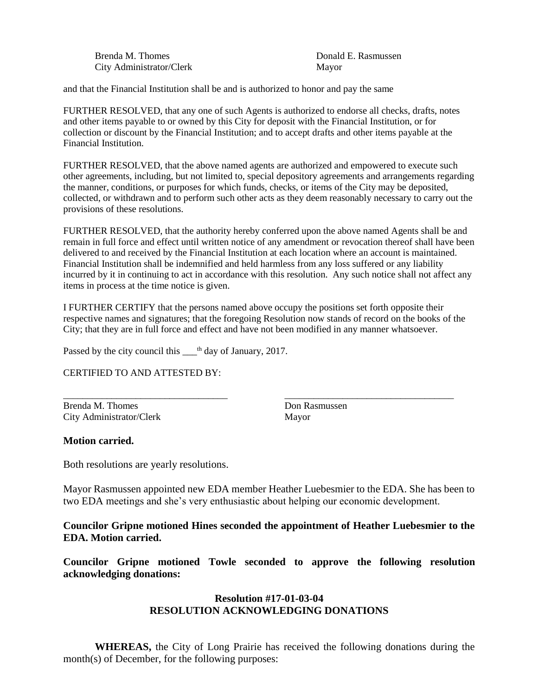Brenda M. Thomes **Brenda M. Thomes Brenda M. Thomes Donald E. Rasmussen** City Administrator/Clerk Mayor

and that the Financial Institution shall be and is authorized to honor and pay the same

FURTHER RESOLVED, that any one of such Agents is authorized to endorse all checks, drafts, notes and other items payable to or owned by this City for deposit with the Financial Institution, or for collection or discount by the Financial Institution; and to accept drafts and other items payable at the Financial Institution.

FURTHER RESOLVED, that the above named agents are authorized and empowered to execute such other agreements, including, but not limited to, special depository agreements and arrangements regarding the manner, conditions, or purposes for which funds, checks, or items of the City may be deposited, collected, or withdrawn and to perform such other acts as they deem reasonably necessary to carry out the provisions of these resolutions.

FURTHER RESOLVED, that the authority hereby conferred upon the above named Agents shall be and remain in full force and effect until written notice of any amendment or revocation thereof shall have been delivered to and received by the Financial Institution at each location where an account is maintained. Financial Institution shall be indemnified and held harmless from any loss suffered or any liability incurred by it in continuing to act in accordance with this resolution. Any such notice shall not affect any items in process at the time notice is given.

I FURTHER CERTIFY that the persons named above occupy the positions set forth opposite their respective names and signatures; that the foregoing Resolution now stands of record on the books of the City; that they are in full force and effect and have not been modified in any manner whatsoever.

\_\_\_\_\_\_\_\_\_\_\_\_\_\_\_\_\_\_\_\_\_\_\_\_\_\_\_\_\_\_\_\_\_\_ \_\_\_\_\_\_\_\_\_\_\_\_\_\_\_\_\_\_\_\_\_\_\_\_\_\_\_\_\_\_\_\_\_\_\_

Passed by the city council this  $\_\text{th}$  day of January, 2017.

CERTIFIED TO AND ATTESTED BY:

Brenda M. Thomes Don Rasmussen City Administrator/Clerk Mayor

#### **Motion carried.**

Both resolutions are yearly resolutions.

Mayor Rasmussen appointed new EDA member Heather Luebesmier to the EDA. She has been to two EDA meetings and she's very enthusiastic about helping our economic development.

**Councilor Gripne motioned Hines seconded the appointment of Heather Luebesmier to the EDA. Motion carried.**

**Councilor Gripne motioned Towle seconded to approve the following resolution acknowledging donations:**

#### **Resolution #17-01-03-04 RESOLUTION ACKNOWLEDGING DONATIONS**

**WHEREAS,** the City of Long Prairie has received the following donations during the month(s) of December, for the following purposes: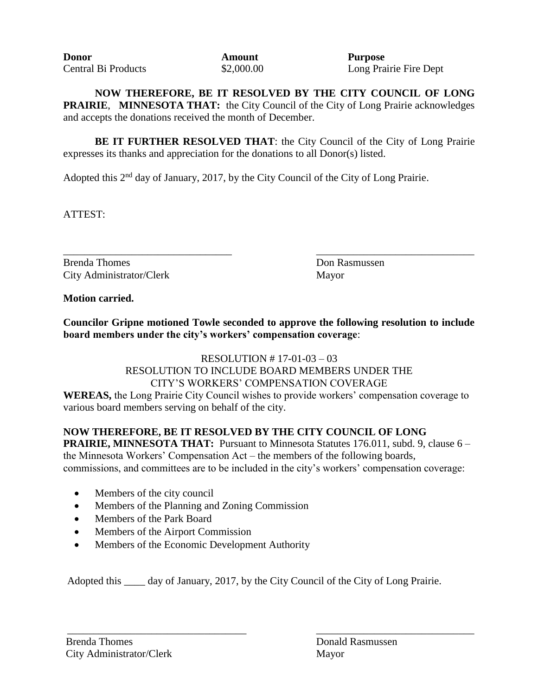| <b>Donor</b>               | Amou   |
|----------------------------|--------|
| <b>Central Bi Products</b> | \$2,00 |

**Donorant Purpose** 0.00 Long Prairie Fire Dept

**NOW THEREFORE, BE IT RESOLVED BY THE CITY COUNCIL OF LONG PRAIRIE**, **MINNESOTA THAT:** the City Council of the City of Long Prairie acknowledges and accepts the donations received the month of December.

**BE IT FURTHER RESOLVED THAT:** the City Council of the City of Long Prairie expresses its thanks and appreciation for the donations to all Donor(s) listed.

Adopted this 2<sup>nd</sup> day of January, 2017, by the City Council of the City of Long Prairie.

ATTEST:

\_\_\_\_\_\_\_\_\_\_\_\_\_\_\_\_\_\_\_\_\_\_\_\_\_\_\_\_\_\_\_\_ \_\_\_\_\_\_\_\_\_\_\_\_\_\_\_\_\_\_\_\_\_\_\_\_\_\_\_\_\_\_ Brenda Thomes **Don Rasmussen** City Administrator/Clerk Mayor

**Motion carried.**

**Councilor Gripne motioned Towle seconded to approve the following resolution to include board members under the city's workers' compensation coverage**:

RESOLUTION # 17-01-03 – 03

RESOLUTION TO INCLUDE BOARD MEMBERS UNDER THE CITY'S WORKERS' COMPENSATION COVERAGE **WEREAS,** the Long Prairie City Council wishes to provide workers' compensation coverage to various board members serving on behalf of the city.

# **NOW THEREFORE, BE IT RESOLVED BY THE CITY COUNCIL OF LONG**

**PRAIRIE, MINNESOTA THAT:** Pursuant to Minnesota Statutes 176.011, subd. 9, clause 6 – the Minnesota Workers' Compensation Act – the members of the following boards, commissions, and committees are to be included in the city's workers' compensation coverage:

- Members of the city council
- Members of the Planning and Zoning Commission
- Members of the Park Board
- Members of the Airport Commission
- Members of the Economic Development Authority

Adopted this \_\_\_\_ day of January, 2017, by the City Council of the City of Long Prairie.

\_\_\_\_\_\_\_\_\_\_\_\_\_\_\_\_\_\_\_\_\_\_\_\_\_\_\_\_\_\_\_\_\_\_ \_\_\_\_\_\_\_\_\_\_\_\_\_\_\_\_\_\_\_\_\_\_\_\_\_\_\_\_\_\_